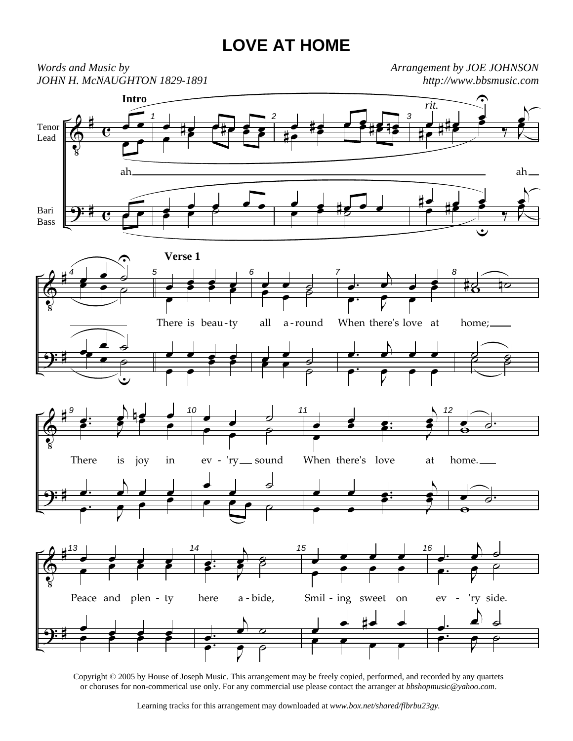## **LOVE AT HOME**



Copyright © 2005 by House of Joseph Music. This arrangement may be freely copied, performed, and recorded by any quartets or choruses for non-commerical use only. For any commercial use please contact the arranger at *bbshopmusic@yahoo.com*.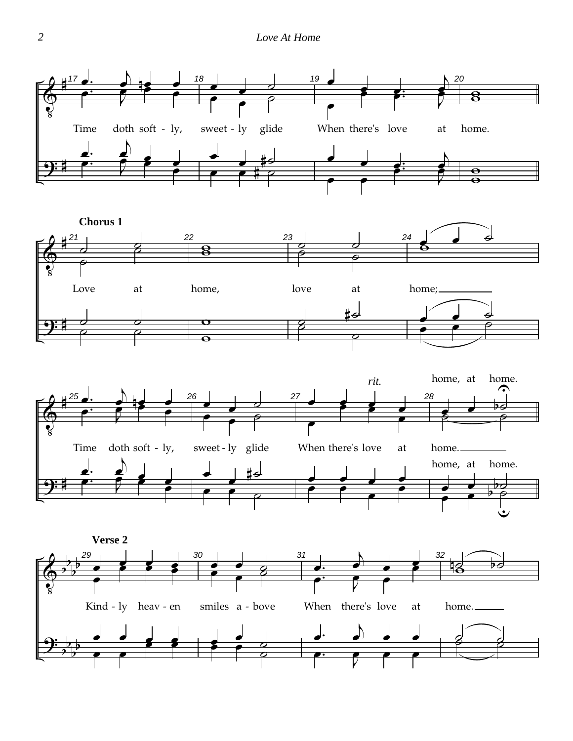## *2 Love At Home*





![](_page_1_Figure_3.jpeg)

![](_page_1_Figure_4.jpeg)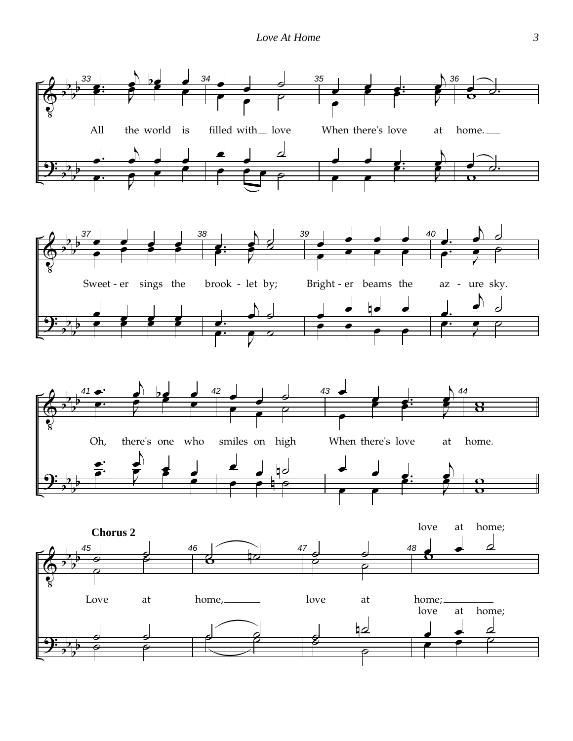![](_page_2_Figure_1.jpeg)